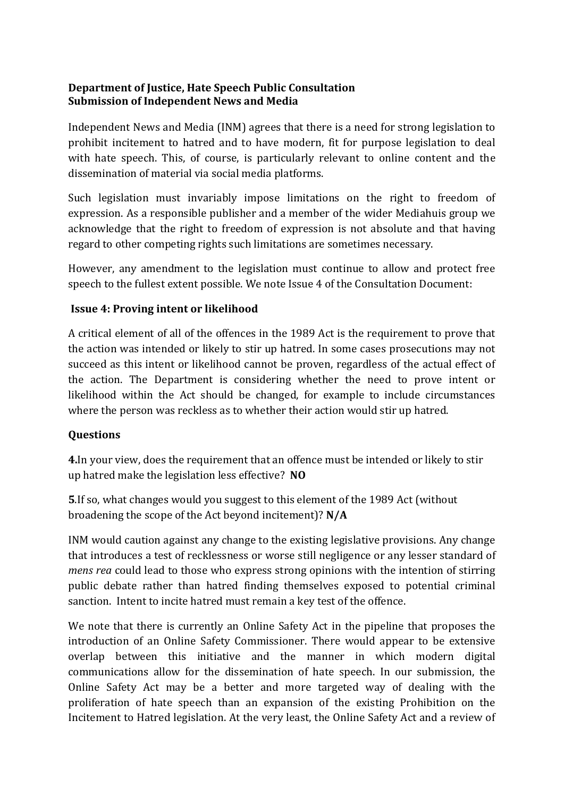## **Department of Justice, Hate Speech Public Consultation Submission of Independent News and Media**

Independent News and Media (INM) agrees that there is a need for strong legislation to prohibit incitement to hatred and to have modern, fit for purpose legislation to deal with hate speech. This, of course, is particularly relevant to online content and the dissemination of material via social media platforms.

Such legislation must invariably impose limitations on the right to freedom of expression. As a responsible publisher and a member of the wider Mediahuis group we acknowledge that the right to freedom of expression is not absolute and that having regard to other competing rights such limitations are sometimes necessary.

However, any amendment to the legislation must continue to allow and protect free speech to the fullest extent possible. We note Issue 4 of the Consultation Document:

## **Issue 4: Proving intent or likelihood**

A critical element of all of the offences in the 1989 Act is the requirement to prove that the action was intended or likely to stir up hatred. In some cases prosecutions may not succeed as this intent or likelihood cannot be proven, regardless of the actual effect of the action. The Department is considering whether the need to prove intent or likelihood within the Act should be changed, for example to include circumstances where the person was reckless as to whether their action would stir up hatred.

## **Questions**

**4.**In your view, does the requirement that an offence must be intended or likely to stir up hatred make the legislation less effective? **NO**

**5**.If so, what changes would you suggest to this element of the 1989 Act (without broadening the scope of the Act beyond incitement)? **N/A**

INM would caution against any change to the existing legislative provisions. Any change that introduces a test of recklessness or worse still negligence or any lesser standard of *mens rea* could lead to those who express strong opinions with the intention of stirring public debate rather than hatred finding themselves exposed to potential criminal sanction. Intent to incite hatred must remain a key test of the offence.

We note that there is currently an Online Safety Act in the pipeline that proposes the introduction of an Online Safety Commissioner. There would appear to be extensive overlap between this initiative and the manner in which modern digital communications allow for the dissemination of hate speech. In our submission, the Online Safety Act may be a better and more targeted way of dealing with the proliferation of hate speech than an expansion of the existing Prohibition on the Incitement to Hatred legislation. At the very least, the Online Safety Act and a review of